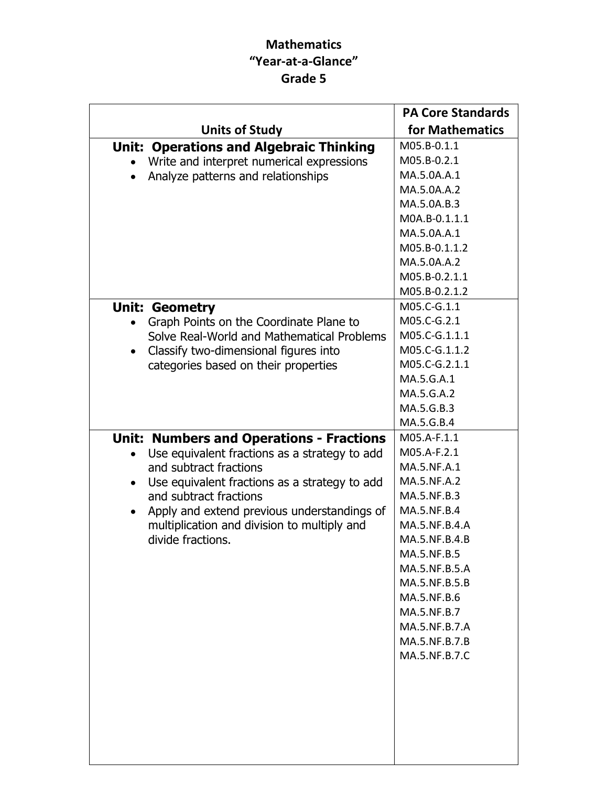## Mathematics "Year-at-a-Glance" Grade 5

|                                                                         | <b>PA Core Standards</b>  |
|-------------------------------------------------------------------------|---------------------------|
| <b>Units of Study</b>                                                   | for Mathematics           |
| <b>Unit: Operations and Algebraic Thinking</b>                          | M05.B-0.1.1               |
| Write and interpret numerical expressions                               | M05.B-0.2.1               |
| Analyze patterns and relationships<br>$\bullet$                         | MA.5.0A.A.1               |
|                                                                         | MA.5.0A.A.2               |
|                                                                         | MA.5.0A.B.3               |
|                                                                         | M0A.B-0.1.1.1             |
|                                                                         | MA.5.0A.A.1               |
|                                                                         | M05.B-0.1.1.2             |
|                                                                         | MA.5.0A.A.2               |
|                                                                         | M05.B-0.2.1.1             |
|                                                                         | M05.B-0.2.1.2             |
| <b>Unit: Geometry</b>                                                   | M05.C-G.1.1               |
| Graph Points on the Coordinate Plane to                                 | M05.C-G.2.1               |
| Solve Real-World and Mathematical Problems                              | M05.C-G.1.1.1             |
| Classify two-dimensional figures into                                   | M05.C-G.1.1.2             |
| categories based on their properties                                    | M05.C-G.2.1.1             |
|                                                                         | MA.5.G.A.1                |
|                                                                         | MA.5.G.A.2                |
|                                                                         | MA.5.G.B.3                |
|                                                                         | MA.5.G.B.4<br>M05.A-F.1.1 |
| <b>Unit: Numbers and Operations - Fractions</b>                         | M05.A-F.2.1               |
| Use equivalent fractions as a strategy to add<br>and subtract fractions | MA.5.NF.A.1               |
| Use equivalent fractions as a strategy to add<br>$\bullet$              | MA.5.NF.A.2               |
| and subtract fractions                                                  | MA.5.NF.B.3               |
| Apply and extend previous understandings of<br>$\bullet$                | MA.5.NF.B.4               |
| multiplication and division to multiply and                             | MA.5.NF.B.4.A             |
| divide fractions.                                                       | MA.5.NF.B.4.B             |
|                                                                         | MA.5.NF.B.5               |
|                                                                         | MA.5.NF.B.5.A             |
|                                                                         | MA.5.NF.B.5.B             |
|                                                                         | MA.5.NF.B.6               |
|                                                                         | MA.5.NF.B.7               |
|                                                                         | MA.5.NF.B.7.A             |
|                                                                         | MA.5.NF.B.7.B             |
|                                                                         | MA.5.NF.B.7.C             |
|                                                                         |                           |
|                                                                         |                           |
|                                                                         |                           |
|                                                                         |                           |
|                                                                         |                           |
|                                                                         |                           |
|                                                                         |                           |